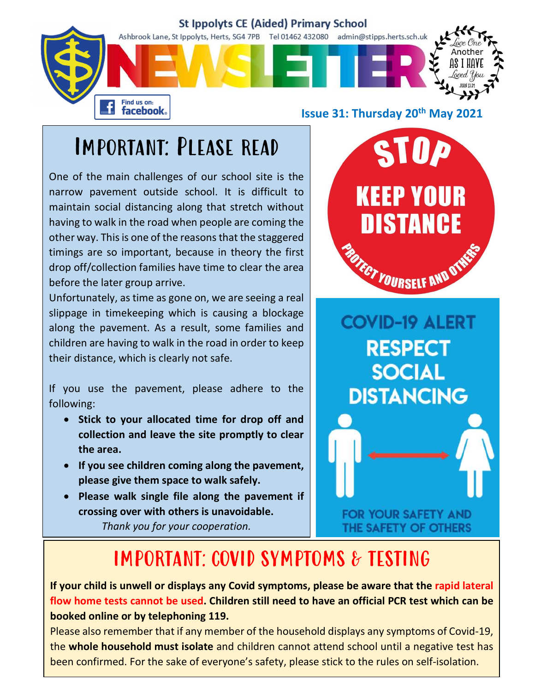

#### Important: Please read

One of the main challenges of our school site is the<br>narrow pavement outside school. It is difficult to<br>maintain social distancing along that stratsh without narrow pavement outside school. It is difficult to maintain social distancing along that stretch without<br>having to walk in the road when people are coming the having to walk in the road when people are coming the other way. This is one of the reasons that the staggered<br>timings are so important, because in theory the first<br>drop off/collection families have time to clear the area<br>before the later group arrive. timings are so important, because in theory the first drop off/collection families have time to clear the area before the later group arrive.

Unfortunately, as time as gone on, we are seeing a real slippage in timekeeping which is causing a blockage along the pavement. As a result, some families and children are having to walk in the road in order to keep  $\begin{array}{ccc} \hline \text{R} & \text{S} & \text{C} \end{array}$ their distance, which is clearly not safe.

If you use the pavement, please adhere to the **DISTANCING** following:

- Stick to your allocated time for drop off and collection and leave the site promptly to clear the area.
- If you see children coming along the pavement, please give them space to walk safely.
- Please walk single file along the pavement if crossing over with others is unavoidable. Thank you for your cooperation.



**SOCIAL** 

FOR YOUR SAFETY AND THE SAFETY OF OTHERS

#### IMPORTANT: COVID SYMPTOMS & TESTING

If your child is unwell or displays any Covid symptoms, please be aware that the rapid lateral flow home tests cannot be used. Children still need to have an official PCR test which can be booked online or by telephoning 119.

Please also remember that if any member of the household displays any symptoms of Covid-19, the whole household must isolate and children cannot attend school until a negative test has been confirmed. For the sake of everyone's safety, please stick to the rules on self-isolation.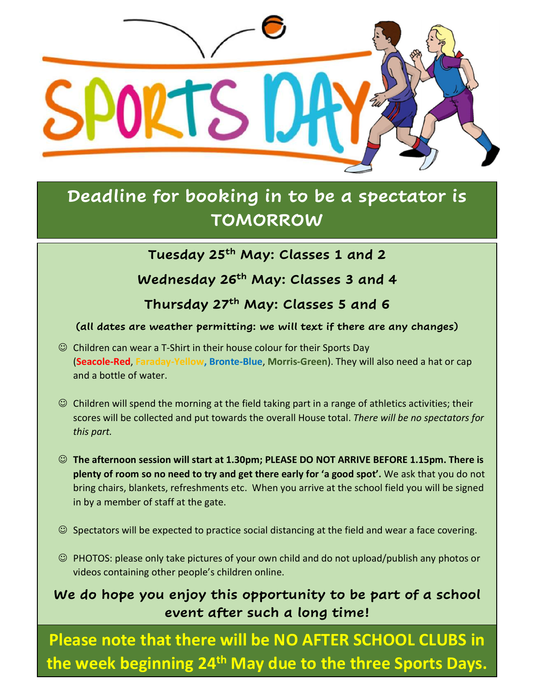

#### Deadline for booking in to be a spectator is TOMORROW

Tuesday 25<sup>th</sup> May: Classes 1 and 2

Wednesday 26<sup>th</sup> May: Classes 3 and 4

Thursday 27<sup>th</sup> May: Classes 5 and 6

(all dates are weather permitting: we will text if there are any changes)

- $\odot$  Children can wear a T-Shirt in their house colour for their Sports Day (Seacole-Red, Faraday-Yellow, Bronte-Blue, Morris-Green). They will also need a hat or cap and a bottle of water.
- $\odot$  Children will spend the morning at the field taking part in a range of athletics activities; their scores will be collected and put towards the overall House total. There will be no spectators for this part.
- The afternoon session will start at 1.30pm; PLEASE DO NOT ARRIVE BEFORE 1.15pm. There is plenty of room so no need to try and get there early for 'a good spot'. We ask that you do not bring chairs, blankets, refreshments etc. When you arrive at the school field you will be signed in by a member of staff at the gate.
- $\odot$  Spectators will be expected to practice social distancing at the field and wear a face covering.
- PHOTOS: please only take pictures of your own child and do not upload/publish any photos or videos containing other people's children online.

#### We do hope you enjoy this opportunity to be part of a school event after such a long time!

Please note that there will be NO AFTER SCHOOL CLUBS in the week beginning 24<sup>th</sup> May due to the three Sports Days.